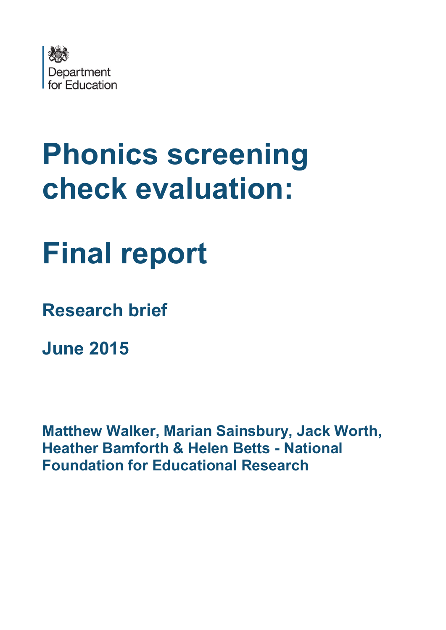

# **Phonics screening check evaluation:**

## **Final report**

**Research brief**

**June 2015**

**Matthew Walker, Marian Sainsbury, Jack Worth, Heather Bamforth & Helen Betts - National Foundation for Educational Research**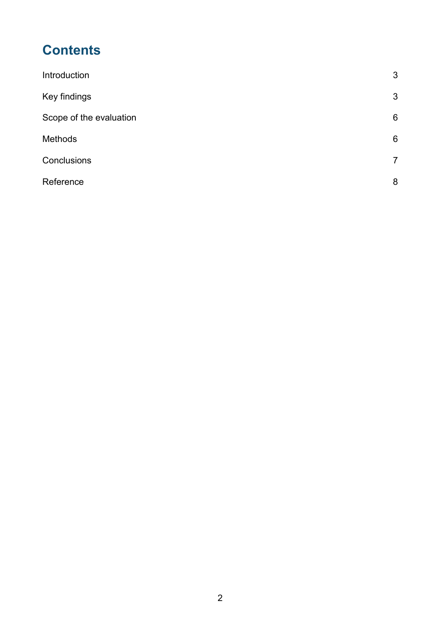## **Contents**

| 3               |
|-----------------|
| $\mathbf{3}$    |
| $6\phantom{1}6$ |
| 6               |
| $\overline{7}$  |
| 8               |
|                 |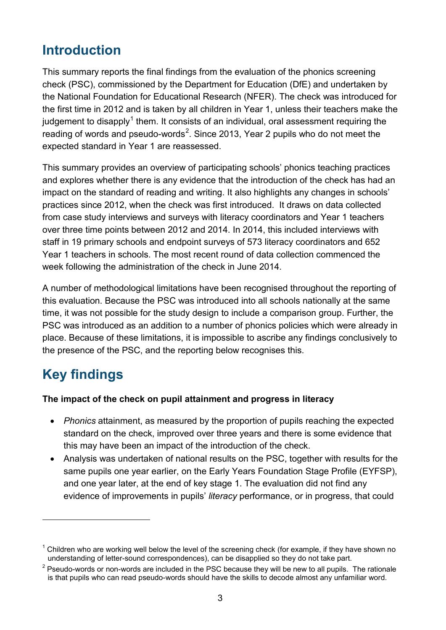## <span id="page-2-0"></span>**Introduction**

This summary reports the final findings from the evaluation of the phonics screening check (PSC), commissioned by the Department for Education (DfE) and undertaken by the National Foundation for Educational Research (NFER). The check was introduced for the first time in 2012 and is taken by all children in Year 1, unless their teachers make the iudgement to disapply<sup>[1](#page-2-2)</sup> them. It consists of an individual, oral assessment requiring the reading of words and pseudo-words<sup>[2](#page-2-3)</sup>. Since 2013, Year 2 pupils who do not meet the expected standard in Year 1 are reassessed.

This summary provides an overview of participating schools' phonics teaching practices and explores whether there is any evidence that the introduction of the check has had an impact on the standard of reading and writing. It also highlights any changes in schools' practices since 2012, when the check was first introduced. It draws on data collected from case study interviews and surveys with literacy coordinators and Year 1 teachers over three time points between 2012 and 2014. In 2014, this included interviews with staff in 19 primary schools and endpoint surveys of 573 literacy coordinators and 652 Year 1 teachers in schools. The most recent round of data collection commenced the week following the administration of the check in June 2014.

A number of methodological limitations have been recognised throughout the reporting of this evaluation. Because the PSC was introduced into all schools nationally at the same time, it was not possible for the study design to include a comparison group. Further, the PSC was introduced as an addition to a number of phonics policies which were already in place. Because of these limitations, it is impossible to ascribe any findings conclusively to the presence of the PSC, and the reporting below recognises this.

## <span id="page-2-1"></span>**Key findings**

<u>.</u>

#### **The impact of the check on pupil attainment and progress in literacy**

- *Phonics* attainment, as measured by the proportion of pupils reaching the expected standard on the check, improved over three years and there is some evidence that this may have been an impact of the introduction of the check.
- Analysis was undertaken of national results on the PSC, together with results for the same pupils one year earlier, on the Early Years Foundation Stage Profile (EYFSP), and one year later, at the end of key stage 1. The evaluation did not find any evidence of improvements in pupils' *literacy* performance, or in progress, that could

<span id="page-2-2"></span> $1$  Children who are working well below the level of the screening check (for example, if they have shown no understanding of letter-sound correspondences), can be disapplied so they do not take part.

<span id="page-2-3"></span> $2$  Pseudo-words or non-words are included in the PSC because they will be new to all pupils. The rationale is that pupils who can read pseudo-words should have the skills to decode almost any unfamiliar word.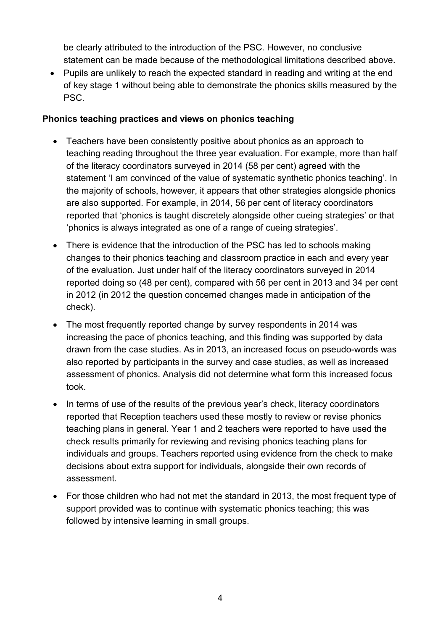be clearly attributed to the introduction of the PSC. However, no conclusive statement can be made because of the methodological limitations described above.

• Pupils are unlikely to reach the expected standard in reading and writing at the end of key stage 1 without being able to demonstrate the phonics skills measured by the PSC.

#### **Phonics teaching practices and views on phonics teaching**

- Teachers have been consistently positive about phonics as an approach to teaching reading throughout the three year evaluation. For example, more than half of the literacy coordinators surveyed in 2014 (58 per cent) agreed with the statement 'I am convinced of the value of systematic synthetic phonics teaching'. In the majority of schools, however, it appears that other strategies alongside phonics are also supported. For example, in 2014, 56 per cent of literacy coordinators reported that 'phonics is taught discretely alongside other cueing strategies' or that 'phonics is always integrated as one of a range of cueing strategies'.
- There is evidence that the introduction of the PSC has led to schools making changes to their phonics teaching and classroom practice in each and every year of the evaluation. Just under half of the literacy coordinators surveyed in 2014 reported doing so (48 per cent), compared with 56 per cent in 2013 and 34 per cent in 2012 (in 2012 the question concerned changes made in anticipation of the check).
- The most frequently reported change by survey respondents in 2014 was increasing the pace of phonics teaching, and this finding was supported by data drawn from the case studies. As in 2013, an increased focus on pseudo-words was also reported by participants in the survey and case studies, as well as increased assessment of phonics. Analysis did not determine what form this increased focus took.
- In terms of use of the results of the previous year's check, literacy coordinators reported that Reception teachers used these mostly to review or revise phonics teaching plans in general. Year 1 and 2 teachers were reported to have used the check results primarily for reviewing and revising phonics teaching plans for individuals and groups. Teachers reported using evidence from the check to make decisions about extra support for individuals, alongside their own records of assessment.
- For those children who had not met the standard in 2013, the most frequent type of support provided was to continue with systematic phonics teaching; this was followed by intensive learning in small groups.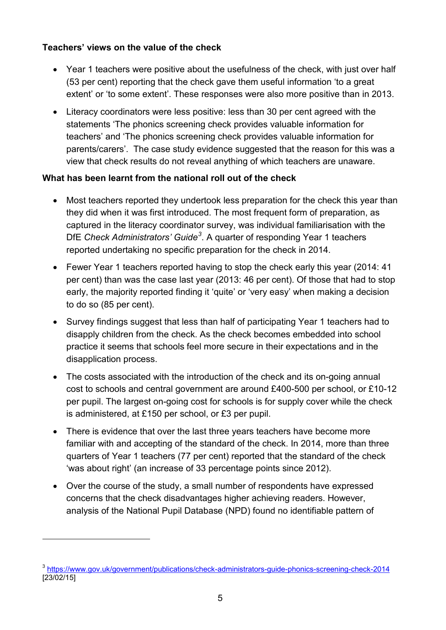#### **Teachers' views on the value of the check**

- Year 1 teachers were positive about the usefulness of the check, with just over half (53 per cent) reporting that the check gave them useful information 'to a great extent' or 'to some extent'. These responses were also more positive than in 2013.
- Literacy coordinators were less positive: less than 30 per cent agreed with the statements 'The phonics screening check provides valuable information for teachers' and 'The phonics screening check provides valuable information for parents/carers'. The case study evidence suggested that the reason for this was a view that check results do not reveal anything of which teachers are unaware.

#### **What has been learnt from the national roll out of the check**

- Most teachers reported they undertook less preparation for the check this year than they did when it was first introduced. The most frequent form of preparation, as captured in the literacy coordinator survey, was individual familiarisation with the DfE *Check Administrators' Guide[3](#page-4-0)* . A quarter of responding Year 1 teachers reported undertaking no specific preparation for the check in 2014.
- Fewer Year 1 teachers reported having to stop the check early this year (2014: 41 per cent) than was the case last year (2013: 46 per cent). Of those that had to stop early, the majority reported finding it 'quite' or 'very easy' when making a decision to do so (85 per cent).
- Survey findings suggest that less than half of participating Year 1 teachers had to disapply children from the check. As the check becomes embedded into school practice it seems that schools feel more secure in their expectations and in the disapplication process.
- The costs associated with the introduction of the check and its on-going annual cost to schools and central government are around £400-500 per school, or £10-12 per pupil. The largest on-going cost for schools is for supply cover while the check is administered, at £150 per school, or £3 per pupil.
- There is evidence that over the last three years teachers have become more familiar with and accepting of the standard of the check. In 2014, more than three quarters of Year 1 teachers (77 per cent) reported that the standard of the check 'was about right' (an increase of 33 percentage points since 2012).
- Over the course of the study, a small number of respondents have expressed concerns that the check disadvantages higher achieving readers. However, analysis of the National Pupil Database (NPD) found no identifiable pattern of

-

<span id="page-4-0"></span><sup>3</sup> <https://www.gov.uk/government/publications/check-administrators-guide-phonics-screening-check-2014> [23/02/15]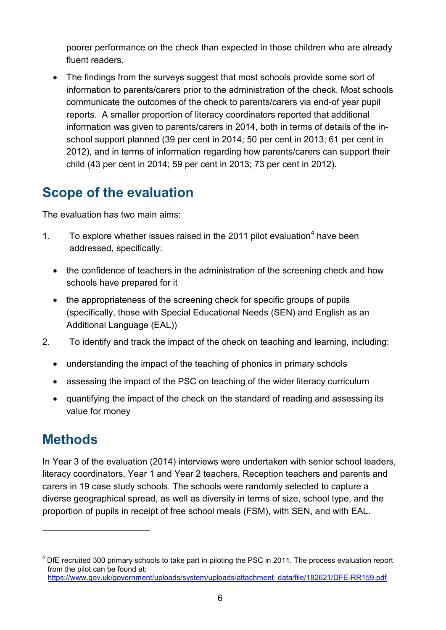poorer performance on the check than expected in those children who are already fluent readers.

• The findings from the surveys suggest that most schools provide some sort of information to parents/carers prior to the administration of the check. Most schools communicate the outcomes of the check to parents/carers via end-of year pupil reports. A smaller proportion of literacy coordinators reported that additional information was given to parents/carers in 2014, both in terms of details of the inschool support planned (39 per cent in 2014; 50 per cent in 2013; 61 per cent in 2012), and in terms of information regarding how parents/carers can support their child (43 per cent in 2014; 59 per cent in 2013; 73 per cent in 2012).

## <span id="page-5-0"></span>**Scope of the evaluation**

The evaluation has two main aims:

- 1. To explore whether issues raised in the 2011 pilot evaluation<sup>[4](#page-5-2)</sup> have been addressed, specifically:
	- the confidence of teachers in the administration of the screening check and how schools have prepared for it
	- the appropriateness of the screening check for specific groups of pupils (specifically, those with Special Educational Needs (SEN) and English as an Additional Language (EAL))
- 2. To identify and track the impact of the check on teaching and learning, including:
	- understanding the impact of the teaching of phonics in primary schools
	- assessing the impact of the PSC on teaching of the wider literacy curriculum
	- quantifying the impact of the check on the standard of reading and assessing its value for money

### <span id="page-5-1"></span>**Methods**

-

In Year 3 of the evaluation (2014) interviews were undertaken with senior school leaders, literacy coordinators, Year 1 and Year 2 teachers, Reception teachers and parents and carers in 19 case study schools. The schools were randomly selected to capture a diverse geographical spread, as well as diversity in terms of size, school type, and the proportion of pupils in receipt of free school meals (FSM), with SEN, and with EAL.

<span id="page-5-2"></span><sup>&</sup>lt;sup>4</sup> DfE recruited 300 primary schools to take part in piloting the PSC in 2011. The process evaluation report from the pilot can be found at: https://www.gov.uk/government/uploads/system/uploads/attachment\_data/file/182621/DFE-RR159.pdf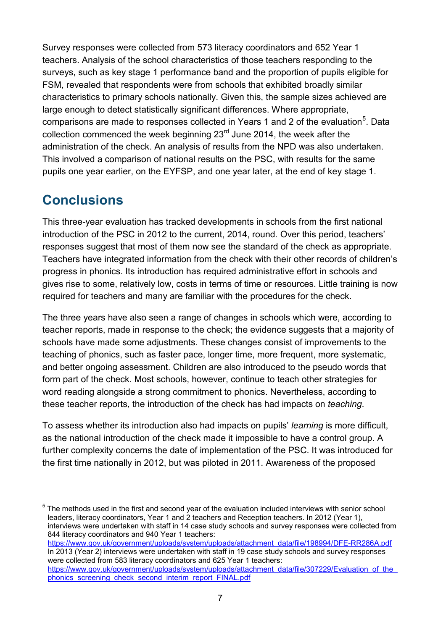Survey responses were collected from 573 literacy coordinators and 652 Year 1 teachers. Analysis of the school characteristics of those teachers responding to the surveys, such as key stage 1 performance band and the proportion of pupils eligible for FSM, revealed that respondents were from schools that exhibited broadly similar characteristics to primary schools nationally. Given this, the sample sizes achieved are large enough to detect statistically significant differences. Where appropriate, comparisons are made to responses collected in Years 1 and 2 of the evaluation<sup>[5](#page-6-1)</sup>. Data collection commenced the week beginning 23<sup>rd</sup> June 2014, the week after the administration of the check. An analysis of results from the NPD was also undertaken. This involved a comparison of national results on the PSC, with results for the same pupils one year earlier, on the EYFSP, and one year later, at the end of key stage 1.

## <span id="page-6-0"></span>**Conclusions**

-

This three-year evaluation has tracked developments in schools from the first national introduction of the PSC in 2012 to the current, 2014, round. Over this period, teachers' responses suggest that most of them now see the standard of the check as appropriate. Teachers have integrated information from the check with their other records of children's progress in phonics. Its introduction has required administrative effort in schools and gives rise to some, relatively low, costs in terms of time or resources. Little training is now required for teachers and many are familiar with the procedures for the check.

The three years have also seen a range of changes in schools which were, according to teacher reports, made in response to the check; the evidence suggests that a majority of schools have made some adjustments. These changes consist of improvements to the teaching of phonics, such as faster pace, longer time, more frequent, more systematic, and better ongoing assessment. Children are also introduced to the pseudo words that form part of the check. Most schools, however, continue to teach other strategies for word reading alongside a strong commitment to phonics. Nevertheless, according to these teacher reports, the introduction of the check has had impacts on *teaching*.

To assess whether its introduction also had impacts on pupils' *learning* is more difficult, as the national introduction of the check made it impossible to have a control group. A further complexity concerns the date of implementation of the PSC. It was introduced for the first time nationally in 2012, but was piloted in 2011. Awareness of the proposed

<span id="page-6-1"></span><sup>5</sup> The methods used in the first and second year of the evaluation included interviews with senior school leaders, literacy coordinators, Year 1 and 2 teachers and Reception teachers. In 2012 (Year 1), interviews were undertaken with staff in 14 case study schools and survey responses were collected from 844 literacy coordinators and 940 Year 1 teachers: [https://www.gov.uk/government/uploads/system/uploads/attachment\\_data/file/198994/DFE-RR286A.pdf](https://www.gov.uk/government/uploads/system/uploads/attachment_data/file/198994/DFE-RR286A.pdf) In 2013 (Year 2) interviews were undertaken with staff in 19 case study schools and survey responses were collected from 583 literacy coordinators and 625 Year 1 teachers: https://www.gov.uk/government/uploads/system/uploads/attachment\_data/file/307229/Evaluation\_of\_the [phonics\\_screening\\_check\\_second\\_interim\\_report\\_FINAL.pdf](https://www.gov.uk/government/uploads/system/uploads/attachment_data/file/307229/Evaluation_of_the_phonics_screening_check_second_interim_report_FINAL.pdf)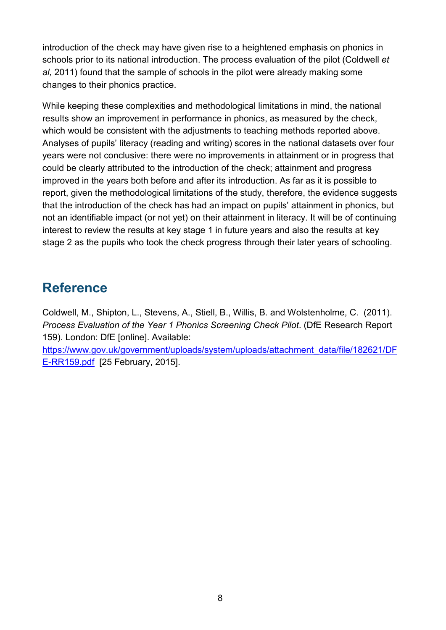introduction of the check may have given rise to a heightened emphasis on phonics in schools prior to its national introduction. The process evaluation of the pilot (Coldwell *et al,* 2011) found that the sample of schools in the pilot were already making some changes to their phonics practice.

While keeping these complexities and methodological limitations in mind, the national results show an improvement in performance in phonics, as measured by the check, which would be consistent with the adjustments to teaching methods reported above. Analyses of pupils' literacy (reading and writing) scores in the national datasets over four years were not conclusive: there were no improvements in attainment or in progress that could be clearly attributed to the introduction of the check; attainment and progress improved in the years both before and after its introduction. As far as it is possible to report, given the methodological limitations of the study, therefore, the evidence suggests that the introduction of the check has had an impact on pupils' attainment in phonics, but not an identifiable impact (or not yet) on their attainment in literacy. It will be of continuing interest to review the results at key stage 1 in future years and also the results at key stage 2 as the pupils who took the check progress through their later years of schooling.

### <span id="page-7-0"></span>**Reference**

Coldwell, M., Shipton, L., Stevens, A., Stiell, B., Willis, B. and Wolstenholme, C. (2011). *Process Evaluation of the Year 1 Phonics Screening Check Pilot*. (DfE Research Report 159). London: DfE [online]. Available:

[https://www.gov.uk/government/uploads/system/uploads/attachment\\_data/file/182621/DF](https://www.gov.uk/government/uploads/system/uploads/attachment_data/file/182621/DFE-RR159.pdf) [E-RR159.pdf](https://www.gov.uk/government/uploads/system/uploads/attachment_data/file/182621/DFE-RR159.pdf) [25 February, 2015].